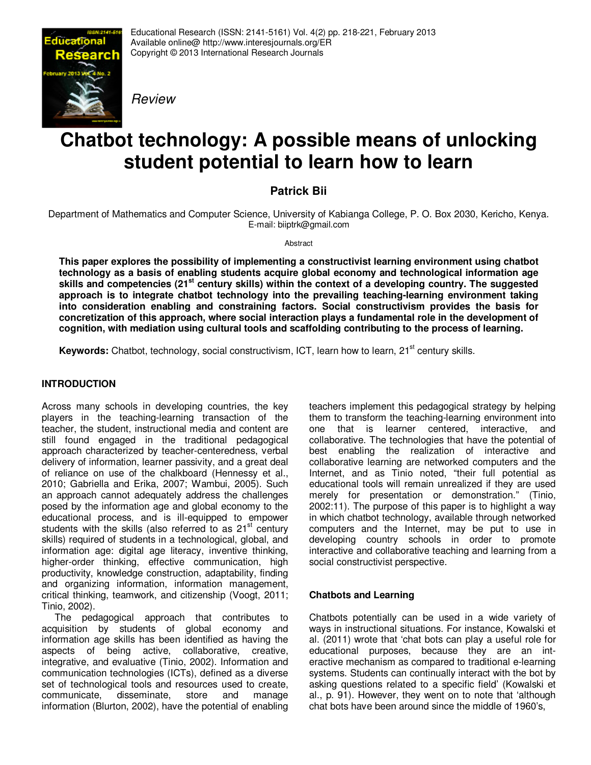

Educational Research (ISSN: 2141-5161) Vol. 4(2) pp. 218-221, February 2013 Available online@ http://www.interesjournals.org/ER Copyright © 2013 International Research Journals

Review

# **Chatbot technology: A possible means of unlocking student potential to learn how to learn**

## **Patrick Bii**

Department of Mathematics and Computer Science, University of Kabianga College, P. O. Box 2030, Kericho, Kenya. E-mail: biiptrk@gmail.com

Abstract

**This paper explores the possibility of implementing a constructivist learning environment using chatbot technology as a basis of enabling students acquire global economy and technological information age skills and competencies (21st century skills) within the context of a developing country. The suggested approach is to integrate chatbot technology into the prevailing teaching-learning environment taking into consideration enabling and constraining factors. Social constructivism provides the basis for concretization of this approach, where social interaction plays a fundamental role in the development of cognition, with mediation using cultural tools and scaffolding contributing to the process of learning.**

Keywords: Chatbot, technology, social constructivism, ICT, learn how to learn, 21<sup>st</sup> century skills.

## **INTRODUCTION**

Across many schools in developing countries, the key players in the teaching-learning transaction of the teacher, the student, instructional media and content are still found engaged in the traditional pedagogical approach characterized by teacher-centeredness, verbal delivery of information, learner passivity, and a great deal of reliance on use of the chalkboard (Hennessy et al., 2010; Gabriella and Erika, 2007; Wambui, 2005). Such an approach cannot adequately address the challenges posed by the information age and global economy to the educational process, and is ill-equipped to empower students with the skills (also referred to as  $21<sup>st</sup>$  century skills) required of students in a technological, global, and information age: digital age literacy, inventive thinking, higher-order thinking, effective communication, high productivity, knowledge construction, adaptability, finding and organizing information, information management, critical thinking, teamwork, and citizenship (Voogt, 2011; Tinio, 2002).

The pedagogical approach that contributes to acquisition by students of global economy and information age skills has been identified as having the aspects of being active, collaborative, creative, integrative, and evaluative (Tinio, 2002). Information and communication technologies (ICTs), defined as a diverse set of technological tools and resources used to create,<br>communicate, disseminate, store and manage communicate, disseminate, store and manage information (Blurton, 2002), have the potential of enabling teachers implement this pedagogical strategy by helping them to transform the teaching-learning environment into one that is learner centered, interactive, and collaborative. The technologies that have the potential of best enabling the realization of interactive and collaborative learning are networked computers and the Internet, and as Tinio noted, "their full potential as educational tools will remain unrealized if they are used merely for presentation or demonstration." (Tinio, 2002:11). The purpose of this paper is to highlight a way in which chatbot technology, available through networked computers and the Internet, may be put to use in developing country schools in order to promote interactive and collaborative teaching and learning from a social constructivist perspective.

## **Chatbots and Learning**

Chatbots potentially can be used in a wide variety of ways in instructional situations. For instance, Kowalski et al. (2011) wrote that 'chat bots can play a useful role for educational purposes, because they are an interactive mechanism as compared to traditional e-learning systems. Students can continually interact with the bot by asking questions related to a specific field' (Kowalski et al., p. 91). However, they went on to note that 'although chat bots have been around since the middle of 1960's,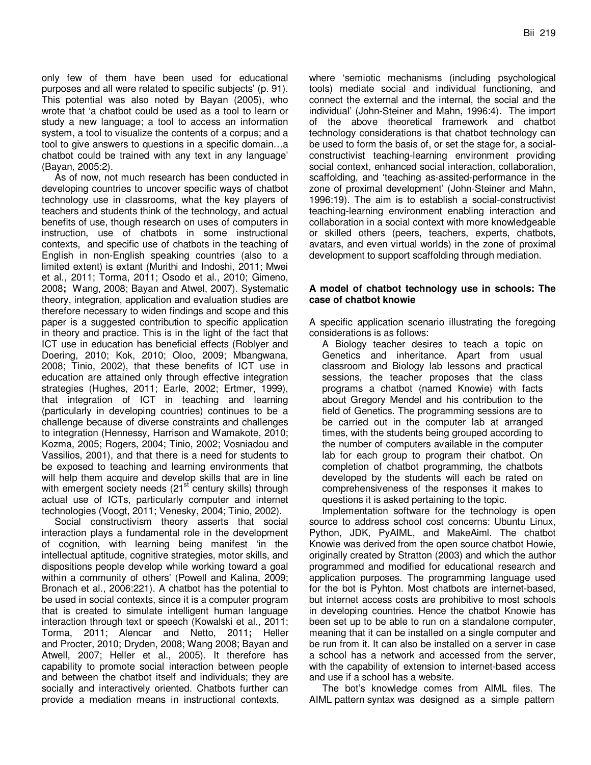only few of them have been used for educational purposes and all were related to specific subjects' (p. 91). This potential was also noted by Bayan (2005), who wrote that 'a chatbot could be used as a tool to learn or study a new language; a tool to access an information system, a tool to visualize the contents of a corpus; and a tool to give answers to questions in a specific domain…a chatbot could be trained with any text in any language' (Bayan, 2005:2).

As of now, not much research has been conducted in developing countries to uncover specific ways of chatbot technology use in classrooms, what the key players of teachers and students think of the technology, and actual benefits of use, though research on uses of computers in instruction, use of chatbots in some instructional contexts, and specific use of chatbots in the teaching of English in non-English speaking countries (also to a limited extent) is extant (Murithi and Indoshi, 2011; Mwei et al., 2011; Torma, 2011; Osodo et al., 2010; Gimeno, 2008**;** Wang, 2008; Bayan and Atwel, 2007). Systematic theory, integration, application and evaluation studies are therefore necessary to widen findings and scope and this paper is a suggested contribution to specific application in theory and practice. This is in the light of the fact that ICT use in education has beneficial effects (Roblyer and Doering, 2010; Kok, 2010; Oloo, 2009; Mbangwana, 2008; Tinio, 2002), that these benefits of ICT use in education are attained only through effective integration strategies (Hughes, 2011; Earle, 2002; Ertmer, 1999), that integration of ICT in teaching and learning (particularly in developing countries) continues to be a challenge because of diverse constraints and challenges to integration (Hennessy, Harrison and Wamakote, 2010; Kozma, 2005; Rogers, 2004; Tinio, 2002; Vosniadou and Vassilios, 2001), and that there is a need for students to be exposed to teaching and learning environments that will help them acquire and develop skills that are in line with emergent society needs (21<sup>st</sup> century skills) through actual use of ICTs, particularly computer and internet technologies (Voogt, 2011; Venesky, 2004; Tinio, 2002).

Social constructivism theory asserts that social interaction plays a fundamental role in the development of cognition, with learning being manifest 'in the intellectual aptitude, cognitive strategies, motor skills, and dispositions people develop while working toward a goal within a community of others' (Powell and Kalina, 2009; Bronach et al., 2006:221). A chatbot has the potential to be used in social contexts, since it is a computer program that is created to simulate intelligent human language interaction through text or speech (Kowalski et al., 2011; Torma, 2011; Alencar and Netto, 2011**;** Heller and Procter, 2010; Dryden, 2008; Wang 2008; Bayan and Atwell, 2007; Heller et al., 2005). It therefore has capability to promote social interaction between people and between the chatbot itself and individuals; they are socially and interactively oriented. Chatbots further can provide a mediation means in instructional contexts,

where 'semiotic mechanisms (including psychological tools) mediate social and individual functioning, and connect the external and the internal, the social and the individual' (John-Steiner and Mahn, 1996:4). The import of the above theoretical framework and chatbot technology considerations is that chatbot technology can be used to form the basis of, or set the stage for, a socialconstructivist teaching-learning environment providing social context, enhanced social interaction, collaboration, scaffolding, and 'teaching as-assited-performance in the zone of proximal development' (John-Steiner and Mahn, 1996:19). The aim is to establish a social-constructivist teaching-learning environment enabling interaction and collaboration in a social context with more knowledgeable or skilled others (peers, teachers, experts, chatbots, avatars, and even virtual worlds) in the zone of proximal development to support scaffolding through mediation.

#### **A model of chatbot technology use in schools: The case of chatbot knowie**

A specific application scenario illustrating the foregoing considerations is as follows:

A Biology teacher desires to teach a topic on Genetics and inheritance. Apart from usual classroom and Biology lab lessons and practical sessions, the teacher proposes that the class programs a chatbot (named Knowie) with facts about Gregory Mendel and his contribution to the field of Genetics. The programming sessions are to be carried out in the computer lab at arranged times, with the students being grouped according to the number of computers available in the computer lab for each group to program their chatbot. On completion of chatbot programming, the chatbots developed by the students will each be rated on comprehensiveness of the responses it makes to questions it is asked pertaining to the topic.

Implementation software for the technology is open source to address school cost concerns: Ubuntu Linux, Python, JDK, PyAIML, and MakeAiml. The chatbot Knowie was derived from the open source chatbot Howie, originally created by Stratton (2003) and which the author programmed and modified for educational research and application purposes. The programming language used for the bot is Pyhton. Most chatbots are internet-based, but internet access costs are prohibitive to most schools in developing countries. Hence the chatbot Knowie has been set up to be able to run on a standalone computer, meaning that it can be installed on a single computer and be run from it. It can also be installed on a server in case a school has a network and accessed from the server, with the capability of extension to internet-based access and use if a school has a website.

The bot's knowledge comes from AIML files. The AIML pattern syntax was designed as a simple pattern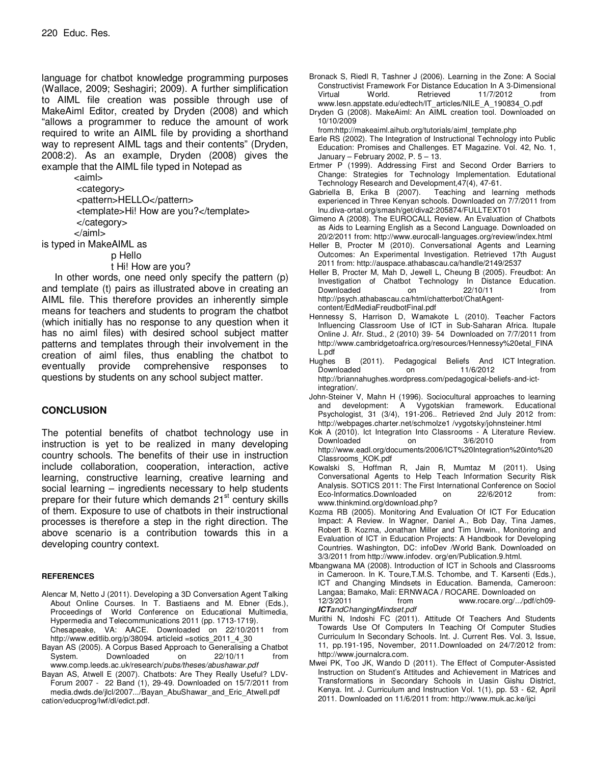language for chatbot knowledge programming purposes (Wallace, 2009; Seshagiri; 2009). A further simplification to AIML file creation was possible through use of MakeAiml Editor, created by Dryden (2008) and which "allows a programmer to reduce the amount of work required to write an AIML file by providing a shorthand way to represent AIML tags and their contents" (Dryden, 2008:2). As an example, Dryden (2008) gives the example that the AIML file typed in Notepad as

> <aiml> <category> <pattern>HELLO</pattern> <template>Hi! How are you?</template> </category> </aiml>

is typed in MakeAIML as

p Hello

t Hi! How are you?

In other words, one need only specify the pattern (p) and template (t) pairs as illustrated above in creating an AIML file. This therefore provides an inherently simple means for teachers and students to program the chatbot (which initially has no response to any question when it has no aiml files) with desired school subject matter patterns and templates through their involvement in the creation of aiml files, thus enabling the chatbot to eventually provide comprehensive responses to questions by students on any school subject matter.

### **CONCLUSION**

The potential benefits of chatbot technology use in instruction is yet to be realized in many developing country schools. The benefits of their use in instruction include collaboration, cooperation, interaction, active learning, constructive learning, creative learning and social learning – ingredients necessary to help students prepare for their future which demands  $21<sup>st</sup>$  century skills of them. Exposure to use of chatbots in their instructional processes is therefore a step in the right direction. The above scenario is a contribution towards this in a developing country context.

#### **REFERENCES**

- Alencar M, Netto J (2011). Developing a 3D Conversation Agent Talking About Online Courses. In T. Bastiaens and M. Ebner (Eds.), Proceedings of World Conference on Educational Multimedia, Hypermedia and Telecommunications 2011 (pp. 1713-1719).
- Chesapeake, VA: AACE. Downloaded on 22/10/2011 from http://www.editlib.org/p/38094. articleid =sotics\_2011\_4\_30
- Bayan AS (2005). A Corpus Based Approach to Generalising a Chatbot System. Downloaded on 22/10/11 from www.comp.leeds.ac.uk/research/pubs/theses/abushawar.pdf
- Bayan AS, Atwell E (2007). Chatbots: Are They Really Useful? LDV-Forum 2007 - 22 Band (1), 29-49. Downloaded on 15/7/2011 from media.dwds.de/jlcl/2007.../Bayan\_AbuShawar\_and\_Eric\_Atwell.pdf cation/educprog/lwf/dl/edict.pdf.
- Bronack S, Riedl R, Tashner J (2006). Learning in the Zone: A Social Constructivist Framework For Distance Education In A 3-Dimensional 11/7/2012 www.lesn.appstate.edu/edtech/IT\_articles/NILE\_A\_190834\_O.pdf
- Dryden G (2008). MakeAiml: An AIML creation tool. Downloaded on 10/10/2009

from:http://makeaiml.aihub.org/tutorials/aiml\_template.php

- Earle RS (2002). The Integration of Instructional Technology into Public Education: Promises and Challenges. ET Magazine. Vol. 42, No. 1, January – February 2002, P. 5 – 13.
- Ertmer P (1999). Addressing First and Second Order Barriers to Change: Strategies for Technology Implementation. Edutational Technology Research and Development,47(4), 47-61.
- Gabriella B, Erika B (2007). Teaching and learning methods experienced in Three Kenyan schools. Downloaded on 7/7/2011 from lnu.diva-ortal.org/smash/get/diva2:205874/FULLTEXT01
- Gimeno A (2008). The EUROCALL Review. An Evaluation of Chatbots as Aids to Learning English as a Second Language. Downloaded on 20/2/2011 from: http://www.eurocall-languages.org/review/index.html
- Heller B, Procter M (2010). Conversational Agents and Learning Outcomes: An Experimental Investigation. Retrieved 17th August 2011 from: http://auspace.athabascau.ca/handle/2149/2537
- Heller B, Procter M, Mah D, Jewell L, Cheung B (2005). Freudbot: An Investigation of Chatbot Technology In Distance Education. Downloaded on 22/10/11 from http://psych.athabascau.ca/html/chatterbot/ChatAgentcontent/EdMediaFreudbotFinal.pdf
- Hennessy S, Harrison D, Wamakote L (2010). Teacher Factors Influencing Classroom Use of ICT in Sub-Saharan Africa. Itupale Online J. Afr. Stud., 2 (2010) 39- 54 Downloaded on 7/7/2011 from http://www.cambridgetoafrica.org/resources/Hennessy%20etal\_FINA L.pdf
- Hughes B (2011). Pedagogical Beliefs And ICT Integration. Downloaded on 11/6/2012 from http://briannahughes.wordpress.com/pedagogical-beliefs-and-ictintegration/.
- John-Steiner V, Mahn H (1996). Sociocultural approaches to learning and development: A Vygotskian framework. Educational Psychologist, 31 (3/4), 191-206.. Retrieved 2nd July 2012 from: http://webpages.charter.net/schmolze1 /vygotsky/johnsteiner.html
- Kok A (2010). Ict Integration Into Classrooms A Literature Review.<br>Downloaded on 3/6/2010 from Downloaded on 3/6/2010 from http://www.eadl.org/documents/2006/ICT%20Integration%20into%20 Classrooms\_KOK.pdf
- Kowalski S, Hoffman R, Jain R, Mumtaz M (2011). Using Conversational Agents to Help Teach Information Security Risk Analysis. SOTICS 2011: The First International Conference on Sociol<br>Eco-Informatics.Downloaded on 22/6/2012 from: Eco-Informatics.Downloaded on 22/6/2012 from: www.thinkmind.org/download.php?
- Kozma RB (2005). Monitoring And Evaluation Of ICT For Education Impact: A Review. In Wagner, Daniel A., Bob Day, Tina James, Robert B. Kozma, Jonathan Miller and Tim Unwin., Monitoring and Evaluation of ICT in Education Projects: A Handbook for Developing Countries. Washington, DC: infoDev /World Bank. Downloaded on 3/3/2011 from http://www.infodev. org/en/Publication.9.html.
- Mbangwana MA (2008). Introduction of ICT in Schools and Classrooms in Cameroon. In K. Toure, T.M.S. Tchombe, and T. Karsenti (Eds.), ICT and Changing Mindsets in Education. Bamenda, Cameroon: Langaa; Bamako, Mali: ERNWACA / ROCARE. Downloaded on 12/3/2011 from www.rocare.org/.../pdf/ch09- **ICT**andChangingMindset.pdf
- Murithi N, Indoshi FC (2011). Attitude Of Teachers And Students Towards Use Of Computers In Teaching Of Computer Studies Curriculum In Secondary Schools. Int. J. Current Res. Vol. 3, Issue, 11, pp.191-195, November, 2011.Downloaded on 24/7/2012 from: http://www.journalcra.com.
- Mwei PK, Too JK, Wando D (2011). The Effect of Computer-Assisted Instruction on Student's Attitudes and Achievement in Matrices and Transformations in Secondary Schools in Uasin Gishu District, Kenya. Int. J. Curriculum and Instruction Vol. 1(1), pp. 53 - 62, April 2011. Downloaded on 11/6/2011 from: http://www.muk.ac.ke/ijci